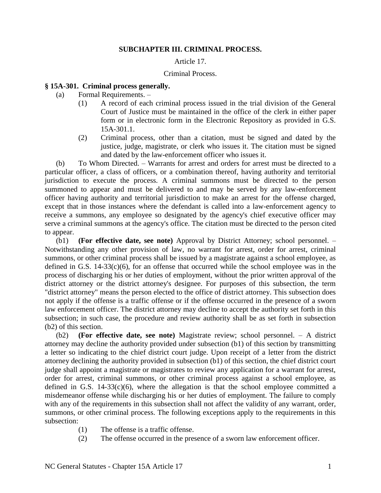#### **SUBCHAPTER III. CRIMINAL PROCESS.**

### Article 17.

#### Criminal Process.

#### **§ 15A-301. Criminal process generally.**

- (a) Formal Requirements.
	- (1) A record of each criminal process issued in the trial division of the General Court of Justice must be maintained in the office of the clerk in either paper form or in electronic form in the Electronic Repository as provided in G.S. 15A-301.1.
	- (2) Criminal process, other than a citation, must be signed and dated by the justice, judge, magistrate, or clerk who issues it. The citation must be signed and dated by the law-enforcement officer who issues it.

(b) To Whom Directed. – Warrants for arrest and orders for arrest must be directed to a particular officer, a class of officers, or a combination thereof, having authority and territorial jurisdiction to execute the process. A criminal summons must be directed to the person summoned to appear and must be delivered to and may be served by any law-enforcement officer having authority and territorial jurisdiction to make an arrest for the offense charged, except that in those instances where the defendant is called into a law-enforcement agency to receive a summons, any employee so designated by the agency's chief executive officer may serve a criminal summons at the agency's office. The citation must be directed to the person cited to appear.

(b1) **(For effective date, see note)** Approval by District Attorney; school personnel. – Notwithstanding any other provision of law, no warrant for arrest, order for arrest, criminal summons, or other criminal process shall be issued by a magistrate against a school employee, as defined in G.S. 14-33(c)(6), for an offense that occurred while the school employee was in the process of discharging his or her duties of employment, without the prior written approval of the district attorney or the district attorney's designee. For purposes of this subsection, the term "district attorney" means the person elected to the office of district attorney. This subsection does not apply if the offense is a traffic offense or if the offense occurred in the presence of a sworn law enforcement officer. The district attorney may decline to accept the authority set forth in this subsection; in such case, the procedure and review authority shall be as set forth in subsection (b2) of this section.

(b2) **(For effective date, see note)** Magistrate review; school personnel. – A district attorney may decline the authority provided under subsection (b1) of this section by transmitting a letter so indicating to the chief district court judge. Upon receipt of a letter from the district attorney declining the authority provided in subsection (b1) of this section, the chief district court judge shall appoint a magistrate or magistrates to review any application for a warrant for arrest, order for arrest, criminal summons, or other criminal process against a school employee, as defined in G.S.  $14-33(c)(6)$ , where the allegation is that the school employee committed a misdemeanor offense while discharging his or her duties of employment. The failure to comply with any of the requirements in this subsection shall not affect the validity of any warrant, order, summons, or other criminal process. The following exceptions apply to the requirements in this subsection:

- (1) The offense is a traffic offense.
- (2) The offense occurred in the presence of a sworn law enforcement officer.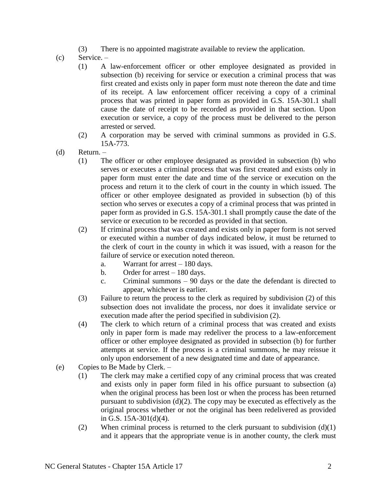- (3) There is no appointed magistrate available to review the application.
- (c) Service.
	- (1) A law-enforcement officer or other employee designated as provided in subsection (b) receiving for service or execution a criminal process that was first created and exists only in paper form must note thereon the date and time of its receipt. A law enforcement officer receiving a copy of a criminal process that was printed in paper form as provided in G.S. 15A-301.1 shall cause the date of receipt to be recorded as provided in that section. Upon execution or service, a copy of the process must be delivered to the person arrested or served.
	- (2) A corporation may be served with criminal summons as provided in G.S. 15A-773.
- (d) Return.
	- (1) The officer or other employee designated as provided in subsection (b) who serves or executes a criminal process that was first created and exists only in paper form must enter the date and time of the service or execution on the process and return it to the clerk of court in the county in which issued. The officer or other employee designated as provided in subsection (b) of this section who serves or executes a copy of a criminal process that was printed in paper form as provided in G.S. 15A-301.1 shall promptly cause the date of the service or execution to be recorded as provided in that section.
	- (2) If criminal process that was created and exists only in paper form is not served or executed within a number of days indicated below, it must be returned to the clerk of court in the county in which it was issued, with a reason for the failure of service or execution noted thereon.
		- a. Warrant for arrest 180 days.
		- b. Order for arrest 180 days.
		- c. Criminal summons 90 days or the date the defendant is directed to appear, whichever is earlier.
	- (3) Failure to return the process to the clerk as required by subdivision (2) of this subsection does not invalidate the process, nor does it invalidate service or execution made after the period specified in subdivision (2).
	- (4) The clerk to which return of a criminal process that was created and exists only in paper form is made may redeliver the process to a law-enforcement officer or other employee designated as provided in subsection (b) for further attempts at service. If the process is a criminal summons, he may reissue it only upon endorsement of a new designated time and date of appearance.
- (e) Copies to Be Made by Clerk.
	- (1) The clerk may make a certified copy of any criminal process that was created and exists only in paper form filed in his office pursuant to subsection (a) when the original process has been lost or when the process has been returned pursuant to subdivision (d)(2). The copy may be executed as effectively as the original process whether or not the original has been redelivered as provided in G.S. 15A-301(d)(4).
	- (2) When criminal process is returned to the clerk pursuant to subdivision  $(d)(1)$ and it appears that the appropriate venue is in another county, the clerk must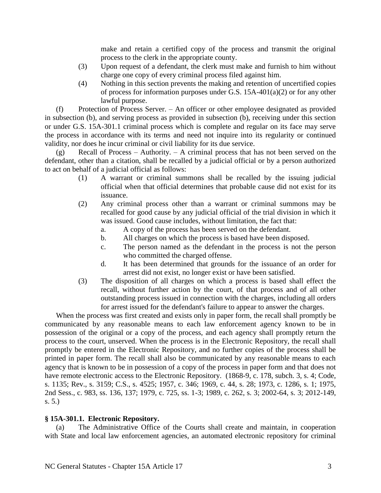make and retain a certified copy of the process and transmit the original process to the clerk in the appropriate county.

- (3) Upon request of a defendant, the clerk must make and furnish to him without charge one copy of every criminal process filed against him.
- (4) Nothing in this section prevents the making and retention of uncertified copies of process for information purposes under G.S. 15A-401(a)(2) or for any other lawful purpose.

(f) Protection of Process Server. – An officer or other employee designated as provided in subsection (b), and serving process as provided in subsection (b), receiving under this section or under G.S. 15A-301.1 criminal process which is complete and regular on its face may serve the process in accordance with its terms and need not inquire into its regularity or continued validity, nor does he incur criminal or civil liability for its due service.

(g) Recall of Process – Authority. – A criminal process that has not been served on the defendant, other than a citation, shall be recalled by a judicial official or by a person authorized to act on behalf of a judicial official as follows:

- (1) A warrant or criminal summons shall be recalled by the issuing judicial official when that official determines that probable cause did not exist for its issuance.
- (2) Any criminal process other than a warrant or criminal summons may be recalled for good cause by any judicial official of the trial division in which it was issued. Good cause includes, without limitation, the fact that:
	- a. A copy of the process has been served on the defendant.
	- b. All charges on which the process is based have been disposed.
	- c. The person named as the defendant in the process is not the person who committed the charged offense.
	- d. It has been determined that grounds for the issuance of an order for arrest did not exist, no longer exist or have been satisfied.
- (3) The disposition of all charges on which a process is based shall effect the recall, without further action by the court, of that process and of all other outstanding process issued in connection with the charges, including all orders for arrest issued for the defendant's failure to appear to answer the charges.

When the process was first created and exists only in paper form, the recall shall promptly be communicated by any reasonable means to each law enforcement agency known to be in possession of the original or a copy of the process, and each agency shall promptly return the process to the court, unserved. When the process is in the Electronic Repository, the recall shall promptly be entered in the Electronic Repository, and no further copies of the process shall be printed in paper form. The recall shall also be communicated by any reasonable means to each agency that is known to be in possession of a copy of the process in paper form and that does not have remote electronic access to the Electronic Repository. (1868-9, c. 178, subch. 3, s. 4; Code, s. 1135; Rev., s. 3159; C.S., s. 4525; 1957, c. 346; 1969, c. 44, s. 28; 1973, c. 1286, s. 1; 1975, 2nd Sess., c. 983, ss. 136, 137; 1979, c. 725, ss. 1-3; 1989, c. 262, s. 3; 2002-64, s. 3; 2012-149, s. 5.)

### **§ 15A-301.1. Electronic Repository.**

(a) The Administrative Office of the Courts shall create and maintain, in cooperation with State and local law enforcement agencies, an automated electronic repository for criminal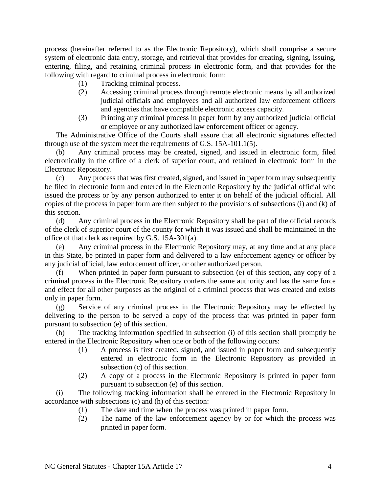process (hereinafter referred to as the Electronic Repository), which shall comprise a secure system of electronic data entry, storage, and retrieval that provides for creating, signing, issuing, entering, filing, and retaining criminal process in electronic form, and that provides for the following with regard to criminal process in electronic form:

- (1) Tracking criminal process.
- (2) Accessing criminal process through remote electronic means by all authorized judicial officials and employees and all authorized law enforcement officers and agencies that have compatible electronic access capacity.
- (3) Printing any criminal process in paper form by any authorized judicial official or employee or any authorized law enforcement officer or agency.

The Administrative Office of the Courts shall assure that all electronic signatures effected through use of the system meet the requirements of G.S. 15A-101.1(5).

(b) Any criminal process may be created, signed, and issued in electronic form, filed electronically in the office of a clerk of superior court, and retained in electronic form in the Electronic Repository.

(c) Any process that was first created, signed, and issued in paper form may subsequently be filed in electronic form and entered in the Electronic Repository by the judicial official who issued the process or by any person authorized to enter it on behalf of the judicial official. All copies of the process in paper form are then subject to the provisions of subsections (i) and (k) of this section.

(d) Any criminal process in the Electronic Repository shall be part of the official records of the clerk of superior court of the county for which it was issued and shall be maintained in the office of that clerk as required by G.S. 15A-301(a).

(e) Any criminal process in the Electronic Repository may, at any time and at any place in this State, be printed in paper form and delivered to a law enforcement agency or officer by any judicial official, law enforcement officer, or other authorized person.

When printed in paper form pursuant to subsection  $(e)$  of this section, any copy of a criminal process in the Electronic Repository confers the same authority and has the same force and effect for all other purposes as the original of a criminal process that was created and exists only in paper form.

(g) Service of any criminal process in the Electronic Repository may be effected by delivering to the person to be served a copy of the process that was printed in paper form pursuant to subsection (e) of this section.

(h) The tracking information specified in subsection (i) of this section shall promptly be entered in the Electronic Repository when one or both of the following occurs:

- (1) A process is first created, signed, and issued in paper form and subsequently entered in electronic form in the Electronic Repository as provided in subsection (c) of this section.
- (2) A copy of a process in the Electronic Repository is printed in paper form pursuant to subsection (e) of this section.

(i) The following tracking information shall be entered in the Electronic Repository in accordance with subsections (c) and (h) of this section:

- (1) The date and time when the process was printed in paper form.
- (2) The name of the law enforcement agency by or for which the process was printed in paper form.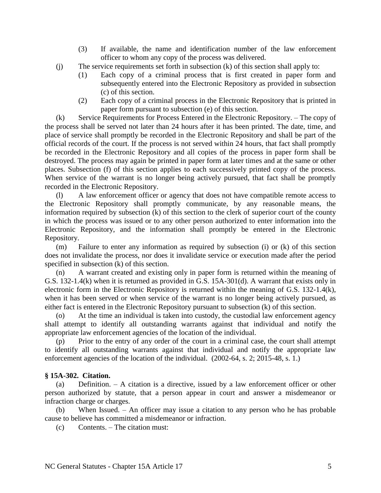- (3) If available, the name and identification number of the law enforcement officer to whom any copy of the process was delivered.
- (j) The service requirements set forth in subsection (k) of this section shall apply to:
	- (1) Each copy of a criminal process that is first created in paper form and subsequently entered into the Electronic Repository as provided in subsection (c) of this section.
	- (2) Each copy of a criminal process in the Electronic Repository that is printed in paper form pursuant to subsection (e) of this section.

(k) Service Requirements for Process Entered in the Electronic Repository. – The copy of the process shall be served not later than 24 hours after it has been printed. The date, time, and place of service shall promptly be recorded in the Electronic Repository and shall be part of the official records of the court. If the process is not served within 24 hours, that fact shall promptly be recorded in the Electronic Repository and all copies of the process in paper form shall be destroyed. The process may again be printed in paper form at later times and at the same or other places. Subsection (f) of this section applies to each successively printed copy of the process. When service of the warrant is no longer being actively pursued, that fact shall be promptly recorded in the Electronic Repository.

(l) A law enforcement officer or agency that does not have compatible remote access to the Electronic Repository shall promptly communicate, by any reasonable means, the information required by subsection (k) of this section to the clerk of superior court of the county in which the process was issued or to any other person authorized to enter information into the Electronic Repository, and the information shall promptly be entered in the Electronic Repository.

(m) Failure to enter any information as required by subsection (i) or (k) of this section does not invalidate the process, nor does it invalidate service or execution made after the period specified in subsection (k) of this section.

(n) A warrant created and existing only in paper form is returned within the meaning of G.S. 132-1.4(k) when it is returned as provided in G.S. 15A-301(d). A warrant that exists only in electronic form in the Electronic Repository is returned within the meaning of G.S. 132-1.4(k), when it has been served or when service of the warrant is no longer being actively pursued, as either fact is entered in the Electronic Repository pursuant to subsection (k) of this section.

(o) At the time an individual is taken into custody, the custodial law enforcement agency shall attempt to identify all outstanding warrants against that individual and notify the appropriate law enforcement agencies of the location of the individual.

(p) Prior to the entry of any order of the court in a criminal case, the court shall attempt to identify all outstanding warrants against that individual and notify the appropriate law enforcement agencies of the location of the individual. (2002-64, s. 2; 2015-48, s. 1.)

# **§ 15A-302. Citation.**

(a) Definition. – A citation is a directive, issued by a law enforcement officer or other person authorized by statute, that a person appear in court and answer a misdemeanor or infraction charge or charges.

(b) When Issued. – An officer may issue a citation to any person who he has probable cause to believe has committed a misdemeanor or infraction.

(c) Contents. – The citation must: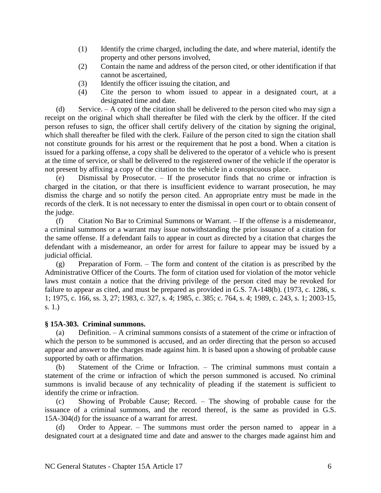- (1) Identify the crime charged, including the date, and where material, identify the property and other persons involved,
- (2) Contain the name and address of the person cited, or other identification if that cannot be ascertained,
- (3) Identify the officer issuing the citation, and
- (4) Cite the person to whom issued to appear in a designated court, at a designated time and date.

(d) Service. – A copy of the citation shall be delivered to the person cited who may sign a receipt on the original which shall thereafter be filed with the clerk by the officer. If the cited person refuses to sign, the officer shall certify delivery of the citation by signing the original, which shall thereafter be filed with the clerk. Failure of the person cited to sign the citation shall not constitute grounds for his arrest or the requirement that he post a bond. When a citation is issued for a parking offense, a copy shall be delivered to the operator of a vehicle who is present at the time of service, or shall be delivered to the registered owner of the vehicle if the operator is not present by affixing a copy of the citation to the vehicle in a conspicuous place.

(e) Dismissal by Prosecutor. – If the prosecutor finds that no crime or infraction is charged in the citation, or that there is insufficient evidence to warrant prosecution, he may dismiss the charge and so notify the person cited. An appropriate entry must be made in the records of the clerk. It is not necessary to enter the dismissal in open court or to obtain consent of the judge.

(f) Citation No Bar to Criminal Summons or Warrant. – If the offense is a misdemeanor, a criminal summons or a warrant may issue notwithstanding the prior issuance of a citation for the same offense. If a defendant fails to appear in court as directed by a citation that charges the defendant with a misdemeanor, an order for arrest for failure to appear may be issued by a judicial official.

(g) Preparation of Form. – The form and content of the citation is as prescribed by the Administrative Officer of the Courts. The form of citation used for violation of the motor vehicle laws must contain a notice that the driving privilege of the person cited may be revoked for failure to appear as cited, and must be prepared as provided in G.S. 7A-148(b). (1973, c. 1286, s. 1; 1975, c. 166, ss. 3, 27; 1983, c. 327, s. 4; 1985, c. 385; c. 764, s. 4; 1989, c. 243, s. 1; 2003-15, s. 1.)

# **§ 15A-303. Criminal summons.**

(a) Definition. – A criminal summons consists of a statement of the crime or infraction of which the person to be summoned is accused, and an order directing that the person so accused appear and answer to the charges made against him. It is based upon a showing of probable cause supported by oath or affirmation.

(b) Statement of the Crime or Infraction. – The criminal summons must contain a statement of the crime or infraction of which the person summoned is accused. No criminal summons is invalid because of any technicality of pleading if the statement is sufficient to identify the crime or infraction.

(c) Showing of Probable Cause; Record. – The showing of probable cause for the issuance of a criminal summons, and the record thereof, is the same as provided in G.S. 15A-304(d) for the issuance of a warrant for arrest.

(d) Order to Appear. – The summons must order the person named to appear in a designated court at a designated time and date and answer to the charges made against him and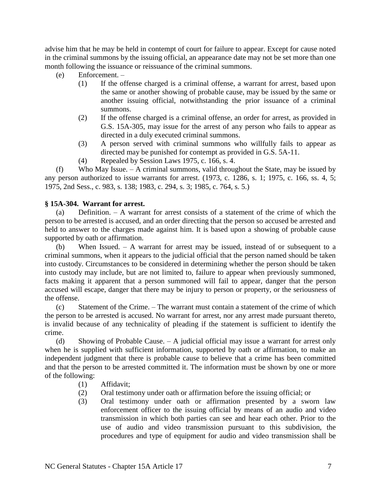advise him that he may be held in contempt of court for failure to appear. Except for cause noted in the criminal summons by the issuing official, an appearance date may not be set more than one month following the issuance or reissuance of the criminal summons.

- (e) Enforcement.
	- (1) If the offense charged is a criminal offense, a warrant for arrest, based upon the same or another showing of probable cause, may be issued by the same or another issuing official, notwithstanding the prior issuance of a criminal summons.
	- (2) If the offense charged is a criminal offense, an order for arrest, as provided in G.S. 15A-305, may issue for the arrest of any person who fails to appear as directed in a duly executed criminal summons.
	- (3) A person served with criminal summons who willfully fails to appear as directed may be punished for contempt as provided in G.S. 5A-11.
	- (4) Repealed by Session Laws 1975, c. 166, s. 4.

(f) Who May Issue. – A criminal summons, valid throughout the State, may be issued by any person authorized to issue warrants for arrest. (1973, c. 1286, s. 1; 1975, c. 166, ss. 4, 5; 1975, 2nd Sess., c. 983, s. 138; 1983, c. 294, s. 3; 1985, c. 764, s. 5.)

# **§ 15A-304. Warrant for arrest.**

(a) Definition. – A warrant for arrest consists of a statement of the crime of which the person to be arrested is accused, and an order directing that the person so accused be arrested and held to answer to the charges made against him. It is based upon a showing of probable cause supported by oath or affirmation.

(b) When Issued. – A warrant for arrest may be issued, instead of or subsequent to a criminal summons, when it appears to the judicial official that the person named should be taken into custody. Circumstances to be considered in determining whether the person should be taken into custody may include, but are not limited to, failure to appear when previously summoned, facts making it apparent that a person summoned will fail to appear, danger that the person accused will escape, danger that there may be injury to person or property, or the seriousness of the offense.

(c) Statement of the Crime. – The warrant must contain a statement of the crime of which the person to be arrested is accused. No warrant for arrest, nor any arrest made pursuant thereto, is invalid because of any technicality of pleading if the statement is sufficient to identify the crime.

(d) Showing of Probable Cause. – A judicial official may issue a warrant for arrest only when he is supplied with sufficient information, supported by oath or affirmation, to make an independent judgment that there is probable cause to believe that a crime has been committed and that the person to be arrested committed it. The information must be shown by one or more of the following:

- (1) Affidavit;
- (2) Oral testimony under oath or affirmation before the issuing official; or
- (3) Oral testimony under oath or affirmation presented by a sworn law enforcement officer to the issuing official by means of an audio and video transmission in which both parties can see and hear each other. Prior to the use of audio and video transmission pursuant to this subdivision, the procedures and type of equipment for audio and video transmission shall be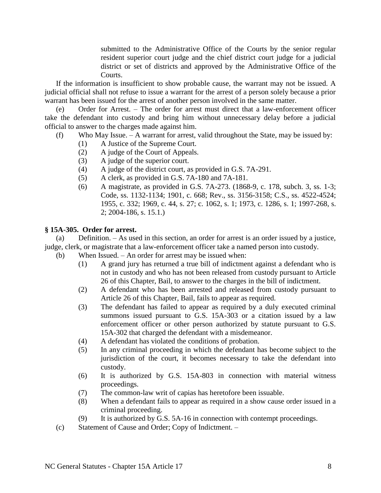submitted to the Administrative Office of the Courts by the senior regular resident superior court judge and the chief district court judge for a judicial district or set of districts and approved by the Administrative Office of the Courts.

If the information is insufficient to show probable cause, the warrant may not be issued. A judicial official shall not refuse to issue a warrant for the arrest of a person solely because a prior warrant has been issued for the arrest of another person involved in the same matter.

(e) Order for Arrest. – The order for arrest must direct that a law-enforcement officer take the defendant into custody and bring him without unnecessary delay before a judicial official to answer to the charges made against him.

- (f) Who May Issue. A warrant for arrest, valid throughout the State, may be issued by:
	- (1) A Justice of the Supreme Court.
	- (2) A judge of the Court of Appeals.
	- (3) A judge of the superior court.
	- (4) A judge of the district court, as provided in G.S. 7A-291.
	- (5) A clerk, as provided in G.S. 7A-180 and 7A-181.
	- (6) A magistrate, as provided in G.S. 7A-273. (1868-9, c. 178, subch. 3, ss. 1-3; Code, ss. 1132-1134; 1901, c. 668; Rev., ss. 3156-3158; C.S., ss. 4522-4524; 1955, c. 332; 1969, c. 44, s. 27; c. 1062, s. 1; 1973, c. 1286, s. 1; 1997-268, s. 2; 2004-186, s. 15.1.)

### **§ 15A-305. Order for arrest.**

(a) Definition. – As used in this section, an order for arrest is an order issued by a justice, judge, clerk, or magistrate that a law-enforcement officer take a named person into custody.

- (b) When Issued. An order for arrest may be issued when:
	- (1) A grand jury has returned a true bill of indictment against a defendant who is not in custody and who has not been released from custody pursuant to Article 26 of this Chapter, Bail, to answer to the charges in the bill of indictment.
	- (2) A defendant who has been arrested and released from custody pursuant to Article 26 of this Chapter, Bail, fails to appear as required.
	- (3) The defendant has failed to appear as required by a duly executed criminal summons issued pursuant to G.S. 15A-303 or a citation issued by a law enforcement officer or other person authorized by statute pursuant to G.S. 15A-302 that charged the defendant with a misdemeanor.
	- (4) A defendant has violated the conditions of probation.
	- (5) In any criminal proceeding in which the defendant has become subject to the jurisdiction of the court, it becomes necessary to take the defendant into custody.
	- (6) It is authorized by G.S. 15A-803 in connection with material witness proceedings.
	- (7) The common-law writ of capias has heretofore been issuable.
	- (8) When a defendant fails to appear as required in a show cause order issued in a criminal proceeding.
	- (9) It is authorized by G.S. 5A-16 in connection with contempt proceedings.
- (c) Statement of Cause and Order; Copy of Indictment. –